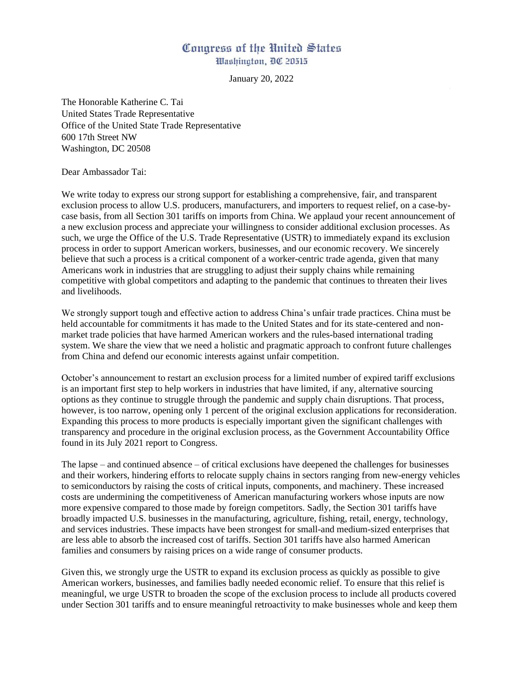## Congress of the United States Washington, DC 20515

January 20, 2022

The Honorable Katherine C. Tai United States Trade Representative Office of the United State Trade Representative 600 17th Street NW Washington, DC 20508

Dear Ambassador Tai:

We write today to express our strong support for establishing a comprehensive, fair, and transparent exclusion process to allow U.S. producers, manufacturers, and importers to request relief, on a case-bycase basis, from all Section 301 tariffs on imports from China. We applaud your recent announcement of a new exclusion process and appreciate your willingness to consider additional exclusion processes. As such, we urge the Office of the U.S. Trade Representative (USTR) to immediately expand its exclusion process in order to support American workers, businesses, and our economic recovery. We sincerely believe that such a process is a critical component of a worker-centric trade agenda, given that many Americans work in industries that are struggling to adjust their supply chains while remaining competitive with global competitors and adapting to the pandemic that continues to threaten their lives and livelihoods.

We strongly support tough and effective action to address China's unfair trade practices. China must be held accountable for commitments it has made to the United States and for its state-centered and nonmarket trade policies that have harmed American workers and the rules-based international trading system. We share the view that we need a holistic and pragmatic approach to confront future challenges from China and defend our economic interests against unfair competition.

October's announcement to restart an exclusion process for a limited number of expired tariff exclusions is an important first step to help workers in industries that have limited, if any, alternative sourcing options as they continue to struggle through the pandemic and supply chain disruptions. That process, however, is too narrow, opening only 1 percent of the original exclusion applications for reconsideration. Expanding this process to more products is especially important given the significant challenges with transparency and procedure in the original exclusion process, as the Government Accountability Office found in its July 2021 report to Congress.

The lapse – and continued absence – of critical exclusions have deepened the challenges for businesses and their workers, hindering efforts to relocate supply chains in sectors ranging from new-energy vehicles to semiconductors by raising the costs of critical inputs, components, and machinery. These increased costs are undermining the competitiveness of American manufacturing workers whose inputs are now more expensive compared to those made by foreign competitors. Sadly, the Section 301 tariffs have broadly impacted U.S. businesses in the manufacturing, agriculture, fishing, retail, energy, technology, and services industries. These impacts have been strongest for small-and medium-sized enterprises that are less able to absorb the increased cost of tariffs. Section 301 tariffs have also harmed American families and consumers by raising prices on a wide range of consumer products.

Given this, we strongly urge the USTR to expand its exclusion process as quickly as possible to give American workers, businesses, and families badly needed economic relief. To ensure that this relief is meaningful, we urge USTR to broaden the scope of the exclusion process to include all products covered under Section 301 tariffs and to ensure meaningful retroactivity to make businesses whole and keep them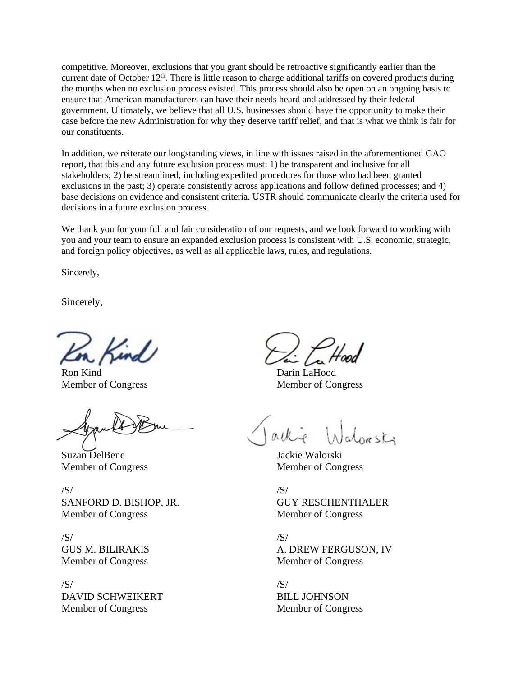competitive. Moreover, exclusions that you grant should be retroactive significantly earlier than the current date of October  $12<sup>th</sup>$ . There is little reason to charge additional tariffs on covered products during the months when no exclusion process existed. This process should also be open on an ongoing basis to ensure that American manufacturers can have their needs heard and addressed by their federal government. Ultimately, we believe that all U.S. businesses should have the opportunity to make their case before the new Administration for why they deserve tariff relief, and that is what we think is fair for our constituents.

In addition, we reiterate our longstanding views, in line with issues raised in the aforementioned GAO report, that this and any future exclusion process must: 1) be transparent and inclusive for all stakeholders; 2) be streamlined, including expedited procedures for those who had been granted exclusions in the past; 3) operate consistently across applications and follow defined processes; and 4) base decisions on evidence and consistent criteria. USTR should communicate clearly the criteria used for decisions in a future exclusion process.

We thank you for your full and fair consideration of our requests, and we look forward to working with you and your team to ensure an expanded exclusion process is consistent with U.S. economic, strategic, and foreign policy objectives, as well as all applicable laws, rules, and regulations.

Sincerely,

Sincerely,

Ron Kind Member of Congress

Suzan DelBene Member of Congress

/S/ SANFORD D. BISHOP, JR. Member of Congress

/S/ GUS M. BILIRAKIS Member of Congress

/S/ DAVID SCHWEIKERT Member of Congress

Darin LaHood Member of Congress

Jackie Walorski Member of Congress

/S/ GUY RESCHENTHALER Member of Congress

/S/ A. DREW FERGUSON, IV Member of Congress

/S/ BILL JOHNSON Member of Congress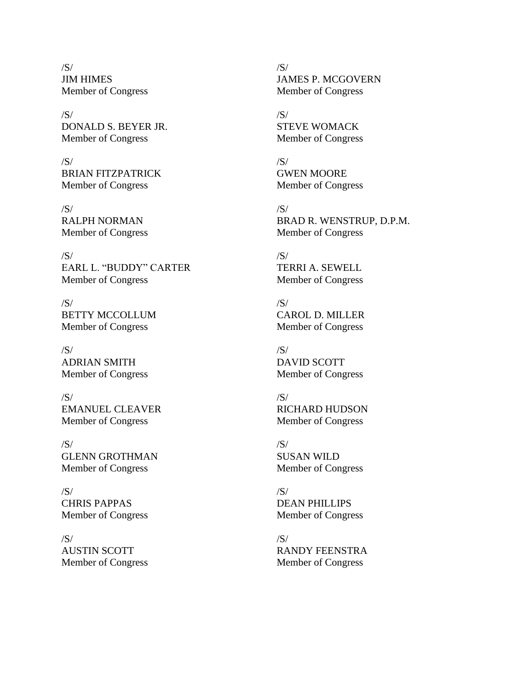/S/ JIM HIMES Member of Congress

/S/ DONALD S. BEYER JR. Member of Congress

/S/ BRIAN FITZPATRICK Member of Congress

/S/ RALPH NORMAN Member of Congress

/S/ EARL L. "BUDDY" CARTER Member of Congress

/S/ BETTY MCCOLLUM Member of Congress

/S/ ADRIAN SMITH Member of Congress

/S/ EMANUEL CLEAVER Member of Congress

/S/ GLENN GROTHMAN Member of Congress

/S/ CHRIS PAPPAS Member of Congress

 $/S/$ AUSTIN SCOTT Member of Congress /S/ JAMES P. MCGOVERN Member of Congress

/S/ STEVE WOMACK Member of Congress

/S/ GWEN MOORE Member of Congress

/S/ BRAD R. WENSTRUP, D.P.M. Member of Congress

/S/ TERRI A. SEWELL Member of Congress

/S/ CAROL D. MILLER Member of Congress

 $/S/$ DAVID SCOTT Member of Congress

/S/ RICHARD HUDSON Member of Congress

/S/ SUSAN WILD Member of Congress

/S/ DEAN PHILLIPS Member of Congress

 $/S/$ RANDY FEENSTRA Member of Congress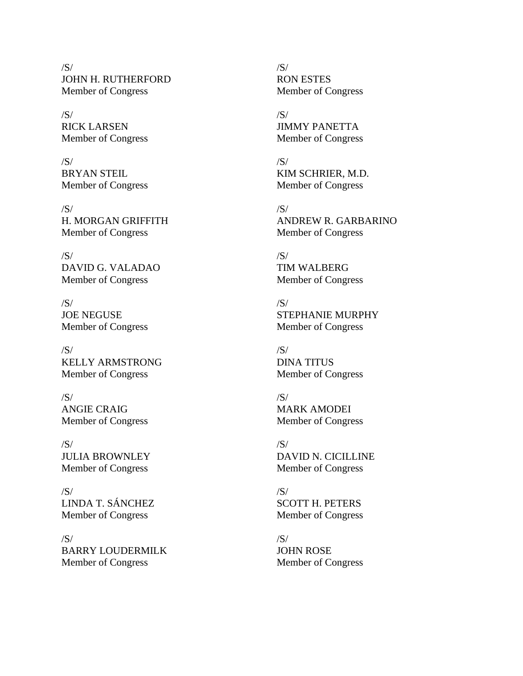/S/ JOHN H. RUTHERFORD Member of Congress

/S/ RICK LARSEN Member of Congress

/S/ BRYAN STEIL Member of Congress

/S/ H. MORGAN GRIFFITH Member of Congress

/S/ DAVID G. VALADAO Member of Congress

 $/S/$ JOE NEGUSE Member of Congress

/S/ KELLY ARMSTRONG Member of Congress

/S/ ANGIE CRAIG Member of Congress

/S/ JULIA BROWNLEY Member of Congress

/S/ LINDA T. SÁNCHEZ Member of Congress

 $/S/$ BARRY LOUDERMILK Member of Congress

/S/ RON ESTES Member of Congress

/S/ JIMMY PANETTA Member of Congress

/S/ KIM SCHRIER, M.D. Member of Congress

/S/ ANDREW R. GARBARINO Member of Congress

/S/ TIM WALBERG Member of Congress

/S/ STEPHANIE MURPHY Member of Congress

 $/S/$ DINA TITUS Member of Congress

/S/ MARK AMODEI Member of Congress

/S/ DAVID N. CICILLINE Member of Congress

/S/ SCOTT H. PETERS Member of Congress

 $/S/$ JOHN ROSE Member of Congress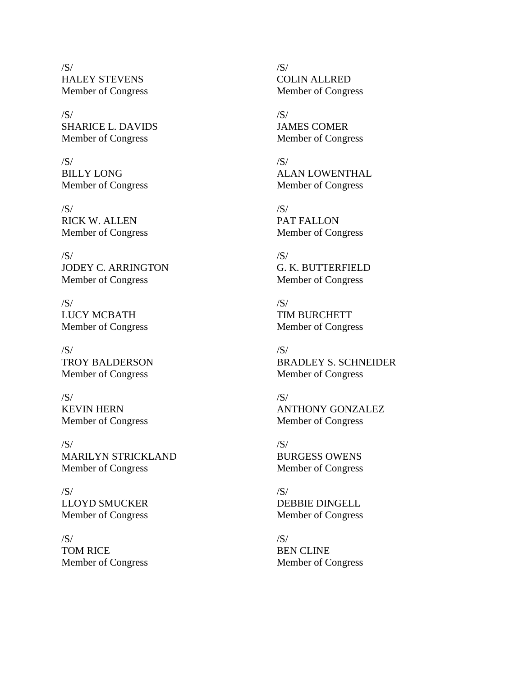/S/ HALEY STEVENS Member of Congress

/S/ SHARICE L. DAVIDS Member of Congress

/S/ BILLY LONG Member of Congress

/S/ RICK W. ALLEN Member of Congress

/S/ JODEY C. ARRINGTON Member of Congress

 $/S/$ LUCY MCBATH Member of Congress

/S/ TROY BALDERSON Member of Congress

/S/ KEVIN HERN Member of Congress

/S/ MARILYN STRICKLAND Member of Congress

/S/ LLOYD SMUCKER Member of Congress

/S/ TOM RICE Member of Congress /S/ COLIN ALLRED Member of Congress

/S/ JAMES COMER Member of Congress

/S/ ALAN LOWENTHAL Member of Congress

/S/ PAT FALLON Member of Congress

/S/ G. K. BUTTERFIELD Member of Congress

/S/ TIM BURCHETT Member of Congress

 $/S/$ BRADLEY S. SCHNEIDER Member of Congress

/S/ ANTHONY GONZALEZ Member of Congress

/S/ BURGESS OWENS Member of Congress

/S/ DEBBIE DINGELL Member of Congress

 $/S/$ BEN CLINE Member of Congress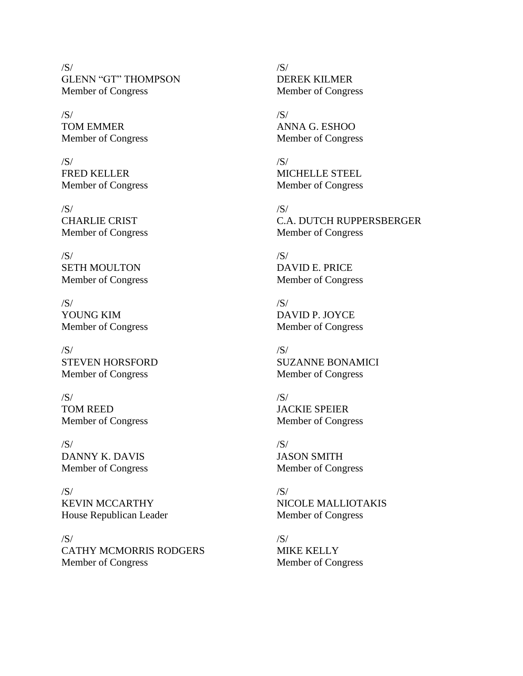/S/ GLENN "GT" THOMPSON Member of Congress

/S/ TOM EMMER Member of Congress

/S/ FRED KELLER Member of Congress

/S/ CHARLIE CRIST Member of Congress

/S/ SETH MOULTON Member of Congress

 $/S/$ YOUNG KIM Member of Congress

/S/ STEVEN HORSFORD Member of Congress

/S/ TOM REED Member of Congress

/S/ DANNY K. DAVIS Member of Congress

/S/ KEVIN MCCARTHY House Republican Leader

 $/S/$ CATHY MCMORRIS RODGERS Member of Congress

/S/ DEREK KILMER Member of Congress

/S/ ANNA G. ESHOO Member of Congress

/S/ MICHELLE STEEL Member of Congress

/S/ C.A. DUTCH RUPPERSBERGER Member of Congress

/S/ DAVID E. PRICE Member of Congress

/S/ DAVID P. JOYCE Member of Congress

 $/S/$ SUZANNE BONAMICI Member of Congress

/S/ JACKIE SPEIER Member of Congress

/S/ JASON SMITH Member of Congress

/S/ NICOLE MALLIOTAKIS Member of Congress

 $/S/$ MIKE KELLY Member of Congress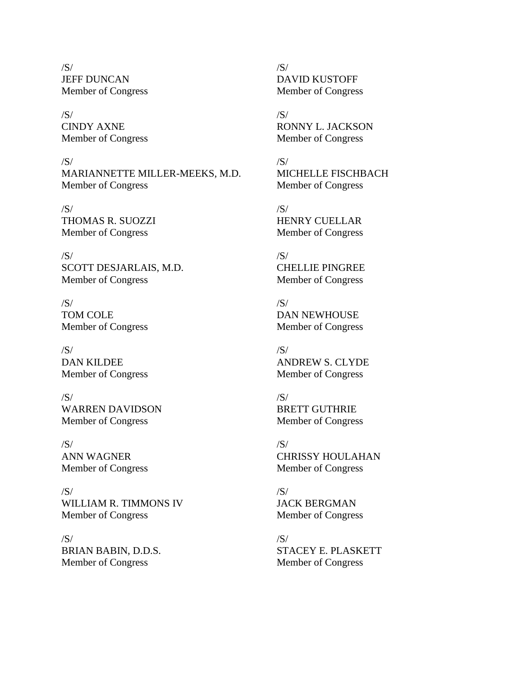/S/ JEFF DUNCAN Member of Congress

/S/ CINDY AXNE Member of Congress

/S/ MARIANNETTE MILLER-MEEKS, M.D. Member of Congress

/S/ THOMAS R. SUOZZI Member of Congress

/S/ SCOTT DESJARLAIS, M.D. Member of Congress

 $/S/$ TOM COLE Member of Congress

/S/ DAN KILDEE Member of Congress

/S/ WARREN DAVIDSON Member of Congress

/S/ ANN WAGNER Member of Congress

/S/ WILLIAM R. TIMMONS IV Member of Congress

 $/S/$ BRIAN BABIN, D.D.S. Member of Congress

/S/ DAVID KUSTOFF Member of Congress

/S/ RONNY L. JACKSON Member of Congress

/S/ MICHELLE FISCHBACH Member of Congress

/S/ HENRY CUELLAR Member of Congress

/S/ CHELLIE PINGREE Member of Congress

/S/ DAN NEWHOUSE Member of Congress

 $/S/$ ANDREW S. CLYDE Member of Congress

/S/ BRETT GUTHRIE Member of Congress

/S/ CHRISSY HOULAHAN Member of Congress

/S/ JACK BERGMAN Member of Congress

/S/ STACEY E. PLASKETT Member of Congress